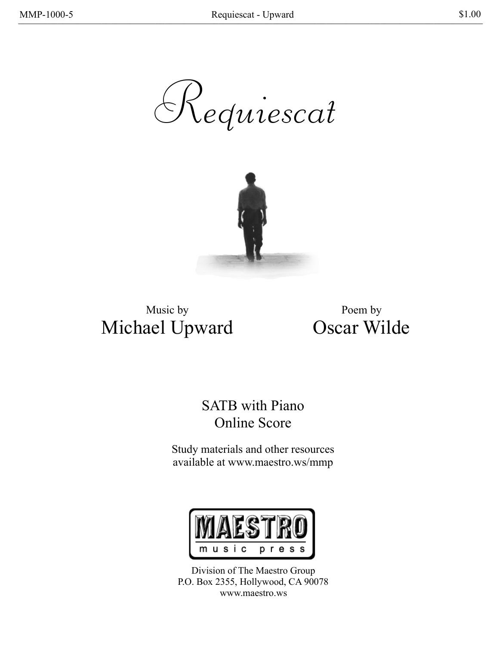Requiescat



Music by Michael Upward

Poem by Oscar Wilde

## SATB with Piano Online Score

Study materials and other resources available at www.maestro.ws/mmp



Division of The Maestro Group P.O. Box 2355, Hollywood, CA 90078 www.maestro.ws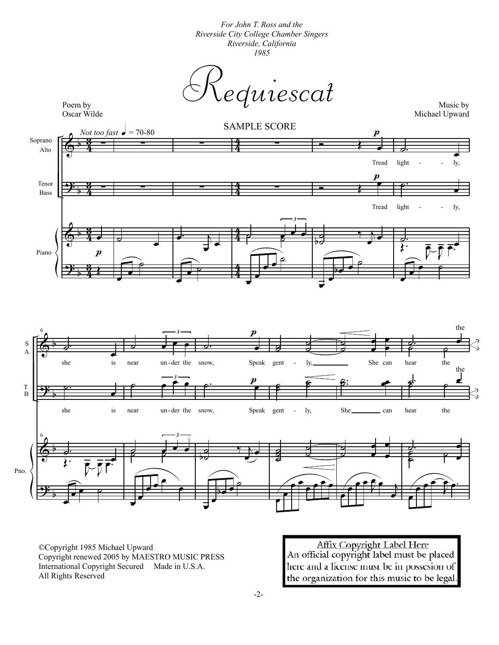*For John T. Ross and the Riverside City College Chamber Singers Riverside, California 1985*

 $\dot{equiescat}$ 



Michael Upward





©Copyright 1985 Michael Upward Copyright renewed 2005 by MAESTRO MUSIC PRESS International Copyright Secured Made in U.S.A. All Rights Reserved

Affix Copyright Label Here<br>An official copyright label must be placed here and a license must be in possesion of the organization for this music to be legal.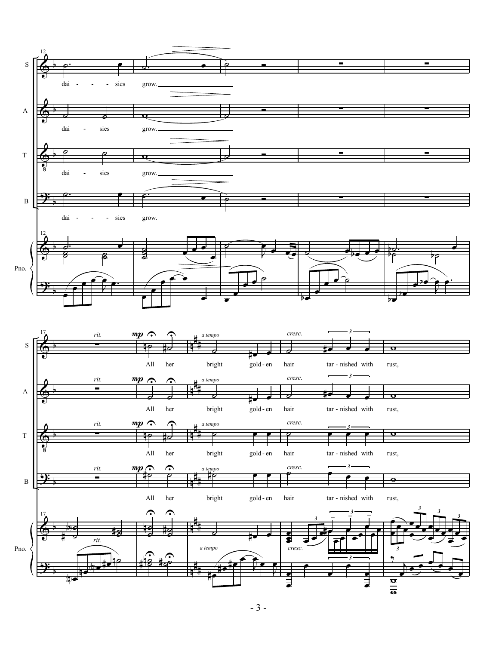

- 3 -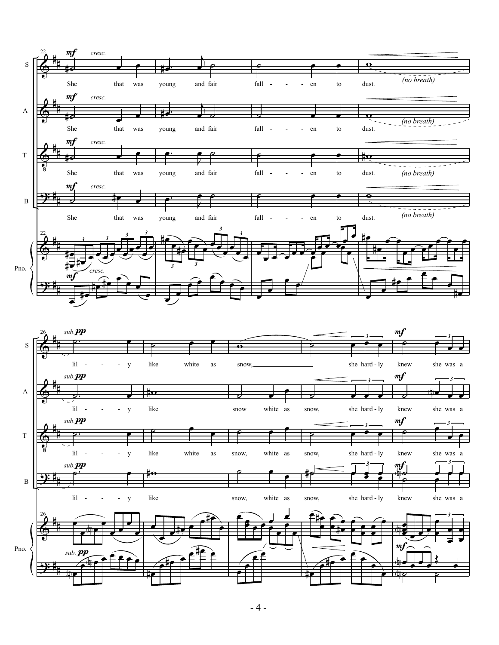

 $-4-$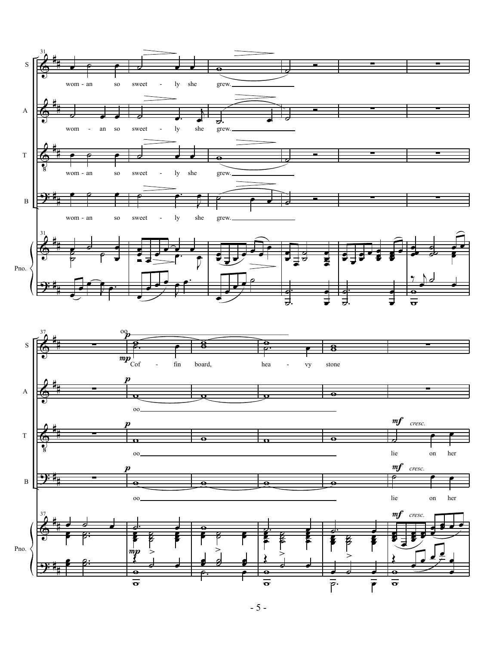

- 5 -